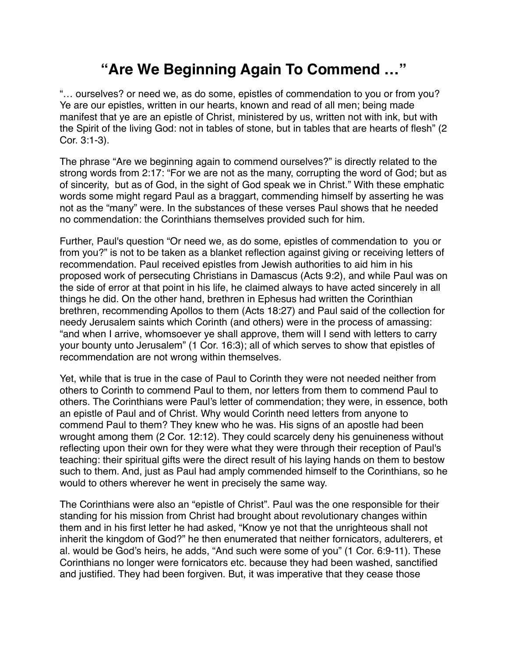## **"Are We Beginning Again To Commend …"**

"… ourselves? or need we, as do some, epistles of commendation to you or from you? Ye are our epistles, written in our hearts, known and read of all men; being made manifest that ye are an epistle of Christ, ministered by us, written not with ink, but with the Spirit of the living God: not in tables of stone, but in tables that are hearts of flesh" (2 Cor. 3:1-3).

The phrase "Are we beginning again to commend ourselves?" is directly related to the strong words from 2:17: "For we are not as the many, corrupting the word of God; but as of sincerity, but as of God, in the sight of God speak we in Christ." With these emphatic words some might regard Paul as a braggart, commending himself by asserting he was not as the "many" were. In the substances of these verses Paul shows that he needed no commendation: the Corinthians themselves provided such for him.

Further, Paul's question "Or need we, as do some, epistles of commendation to you or from you?" is not to be taken as a blanket reflection against giving or receiving letters of recommendation. Paul received epistles from Jewish authorities to aid him in his proposed work of persecuting Christians in Damascus (Acts 9:2), and while Paul was on the side of error at that point in his life, he claimed always to have acted sincerely in all things he did. On the other hand, brethren in Ephesus had written the Corinthian brethren, recommending Apollos to them (Acts 18:27) and Paul said of the collection for needy Jerusalem saints which Corinth (and others) were in the process of amassing: "and when I arrive, whomsoever ye shall approve, them will I send with letters to carry your bounty unto Jerusalem" (1 Cor. 16:3); all of which serves to show that epistles of recommendation are not wrong within themselves.

Yet, while that is true in the case of Paul to Corinth they were not needed neither from others to Corinth to commend Paul to them, nor letters from them to commend Paul to others. The Corinthians were Paul's letter of commendation; they were, in essence, both an epistle of Paul and of Christ. Why would Corinth need letters from anyone to commend Paul to them? They knew who he was. His signs of an apostle had been wrought among them (2 Cor. 12:12). They could scarcely deny his genuineness without reflecting upon their own for they were what they were through their reception of Paul's teaching: their spiritual gifts were the direct result of his laying hands on them to bestow such to them. And, just as Paul had amply commended himself to the Corinthians, so he would to others wherever he went in precisely the same way.

The Corinthians were also an "epistle of Christ". Paul was the one responsible for their standing for his mission from Christ had brought about revolutionary changes within them and in his first letter he had asked, "Know ye not that the unrighteous shall not inherit the kingdom of God?" he then enumerated that neither fornicators, adulterers, et al. would be God's heirs, he adds, "And such were some of you" (1 Cor. 6:9-11). These Corinthians no longer were fornicators etc. because they had been washed, sanctified and justified. They had been forgiven. But, it was imperative that they cease those